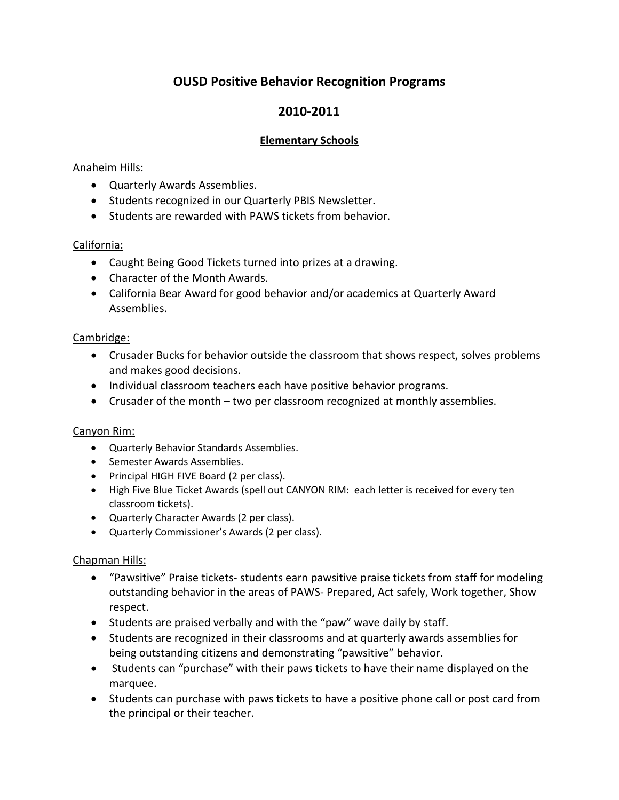# **OUSD Positive Behavior Recognition Programs**

# **2010-2011**

### **Elementary Schools**

### Anaheim Hills:

- Quarterly Awards Assemblies.
- Students recognized in our Quarterly PBIS Newsletter.
- Students are rewarded with PAWS tickets from behavior.

### California:

- Caught Being Good Tickets turned into prizes at a drawing.
- Character of the Month Awards.
- California Bear Award for good behavior and/or academics at Quarterly Award Assemblies.

### Cambridge:

- Crusader Bucks for behavior outside the classroom that shows respect, solves problems and makes good decisions.
- Individual classroom teachers each have positive behavior programs.
- Crusader of the month two per classroom recognized at monthly assemblies.

### Canyon Rim:

- Quarterly Behavior Standards Assemblies.
- Semester Awards Assemblies.
- Principal HIGH FIVE Board (2 per class).
- High Five Blue Ticket Awards (spell out CANYON RIM: each letter is received for every ten classroom tickets).
- Quarterly Character Awards (2 per class).
- Quarterly Commissioner's Awards (2 per class).

### Chapman Hills:

- "Pawsitive" Praise tickets- students earn pawsitive praise tickets from staff for modeling outstanding behavior in the areas of PAWS- Prepared, Act safely, Work together, Show respect.
- Students are praised verbally and with the "paw" wave daily by staff.
- Students are recognized in their classrooms and at quarterly awards assemblies for being outstanding citizens and demonstrating "pawsitive" behavior.
- Students can "purchase" with their paws tickets to have their name displayed on the marquee.
- Students can purchase with paws tickets to have a positive phone call or post card from the principal or their teacher.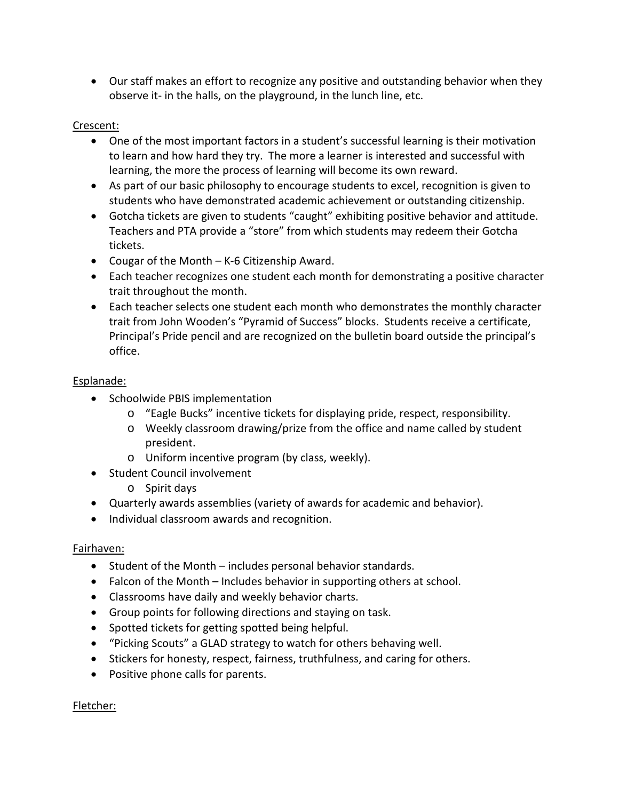• Our staff makes an effort to recognize any positive and outstanding behavior when they observe it- in the halls, on the playground, in the lunch line, etc.

### Crescent:

- One of the most important factors in a student's successful learning is their motivation to learn and how hard they try. The more a learner is interested and successful with learning, the more the process of learning will become its own reward.
- As part of our basic philosophy to encourage students to excel, recognition is given to students who have demonstrated academic achievement or outstanding citizenship.
- Gotcha tickets are given to students "caught" exhibiting positive behavior and attitude. Teachers and PTA provide a "store" from which students may redeem their Gotcha tickets.
- Cougar of the Month K-6 Citizenship Award.
- Each teacher recognizes one student each month for demonstrating a positive character trait throughout the month.
- Each teacher selects one student each month who demonstrates the monthly character trait from John Wooden's "Pyramid of Success" blocks. Students receive a certificate, Principal's Pride pencil and are recognized on the bulletin board outside the principal's office.

### Esplanade:

- Schoolwide PBIS implementation
	- o "Eagle Bucks" incentive tickets for displaying pride, respect, responsibility.
	- o Weekly classroom drawing/prize from the office and name called by student president.
	- o Uniform incentive program (by class, weekly).
- Student Council involvement
	- o Spirit days
- Quarterly awards assemblies (variety of awards for academic and behavior).
- Individual classroom awards and recognition.

### Fairhaven:

- Student of the Month includes personal behavior standards.
- Falcon of the Month Includes behavior in supporting others at school.
- Classrooms have daily and weekly behavior charts.
- Group points for following directions and staying on task.
- Spotted tickets for getting spotted being helpful.
- "Picking Scouts" a GLAD strategy to watch for others behaving well.
- Stickers for honesty, respect, fairness, truthfulness, and caring for others.
- Positive phone calls for parents.

### Fletcher: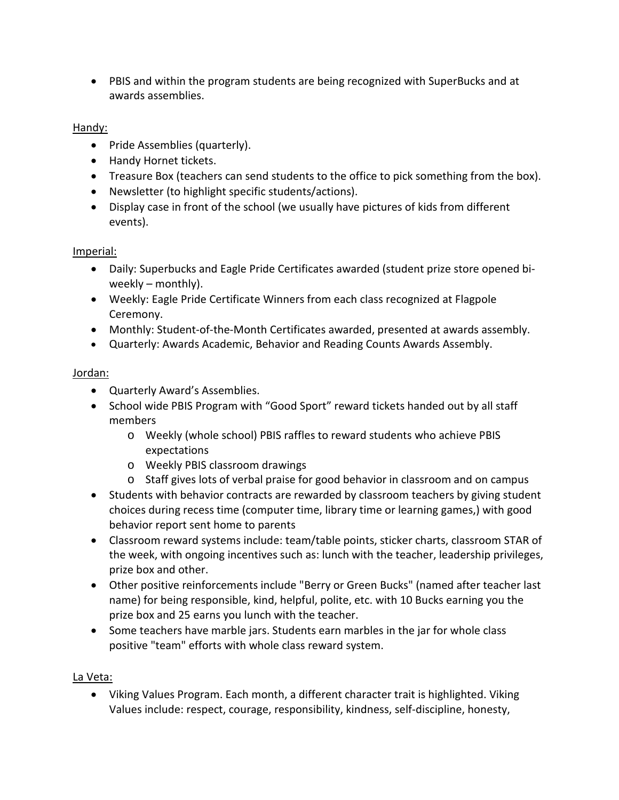• PBIS and within the program students are being recognized with SuperBucks and at awards assemblies.

## Handy:

- Pride Assemblies (quarterly).
- Handy Hornet tickets.
- Treasure Box (teachers can send students to the office to pick something from the box).
- Newsletter (to highlight specific students/actions).
- Display case in front of the school (we usually have pictures of kids from different events).

### Imperial:

- Daily: Superbucks and Eagle Pride Certificates awarded (student prize store opened biweekly – monthly).
- Weekly: Eagle Pride Certificate Winners from each class recognized at Flagpole Ceremony.
- Monthly: Student-of-the-Month Certificates awarded, presented at awards assembly.
- Quarterly: Awards Academic, Behavior and Reading Counts Awards Assembly.

## Jordan:

- Quarterly Award's Assemblies.
- School wide PBIS Program with "Good Sport" reward tickets handed out by all staff members
	- o Weekly (whole school) PBIS raffles to reward students who achieve PBIS expectations
	- o Weekly PBIS classroom drawings
	- o Staff gives lots of verbal praise for good behavior in classroom and on campus
- Students with behavior contracts are rewarded by classroom teachers by giving student choices during recess time (computer time, library time or learning games,) with good behavior report sent home to parents
- Classroom reward systems include: team/table points, sticker charts, classroom STAR of the week, with ongoing incentives such as: lunch with the teacher, leadership privileges, prize box and other.
- Other positive reinforcements include "Berry or Green Bucks" (named after teacher last name) for being responsible, kind, helpful, polite, etc. with 10 Bucks earning you the prize box and 25 earns you lunch with the teacher.
- Some teachers have marble jars. Students earn marbles in the jar for whole class positive "team" efforts with whole class reward system.

## La Veta:

• Viking Values Program. Each month, a different character trait is highlighted. Viking Values include: respect, courage, responsibility, kindness, self-discipline, honesty,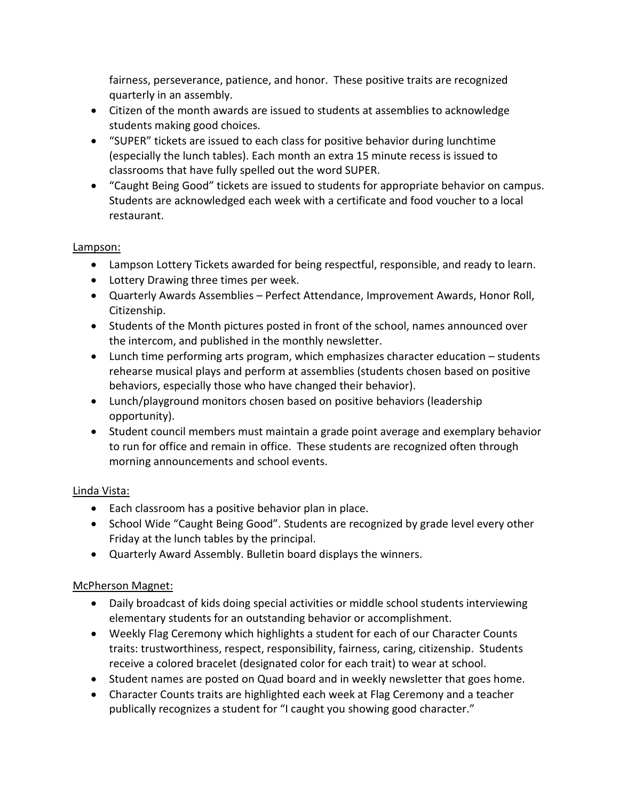fairness, perseverance, patience, and honor. These positive traits are recognized quarterly in an assembly.

- Citizen of the month awards are issued to students at assemblies to acknowledge students making good choices.
- "SUPER" tickets are issued to each class for positive behavior during lunchtime (especially the lunch tables). Each month an extra 15 minute recess is issued to classrooms that have fully spelled out the word SUPER.
- "Caught Being Good" tickets are issued to students for appropriate behavior on campus. Students are acknowledged each week with a certificate and food voucher to a local restaurant.

### Lampson:

- Lampson Lottery Tickets awarded for being respectful, responsible, and ready to learn.
- Lottery Drawing three times per week.
- Quarterly Awards Assemblies Perfect Attendance, Improvement Awards, Honor Roll, Citizenship.
- Students of the Month pictures posted in front of the school, names announced over the intercom, and published in the monthly newsletter.
- Lunch time performing arts program, which emphasizes character education students rehearse musical plays and perform at assemblies (students chosen based on positive behaviors, especially those who have changed their behavior).
- Lunch/playground monitors chosen based on positive behaviors (leadership opportunity).
- Student council members must maintain a grade point average and exemplary behavior to run for office and remain in office. These students are recognized often through morning announcements and school events.

## Linda Vista:

- Each classroom has a positive behavior plan in place.
- School Wide "Caught Being Good". Students are recognized by grade level every other Friday at the lunch tables by the principal.
- Quarterly Award Assembly. Bulletin board displays the winners.

### McPherson Magnet:

- Daily broadcast of kids doing special activities or middle school students interviewing elementary students for an outstanding behavior or accomplishment.
- Weekly Flag Ceremony which highlights a student for each of our Character Counts traits: trustworthiness, respect, responsibility, fairness, caring, citizenship. Students receive a colored bracelet (designated color for each trait) to wear at school.
- Student names are posted on Quad board and in weekly newsletter that goes home.
- Character Counts traits are highlighted each week at Flag Ceremony and a teacher publically recognizes a student for "I caught you showing good character."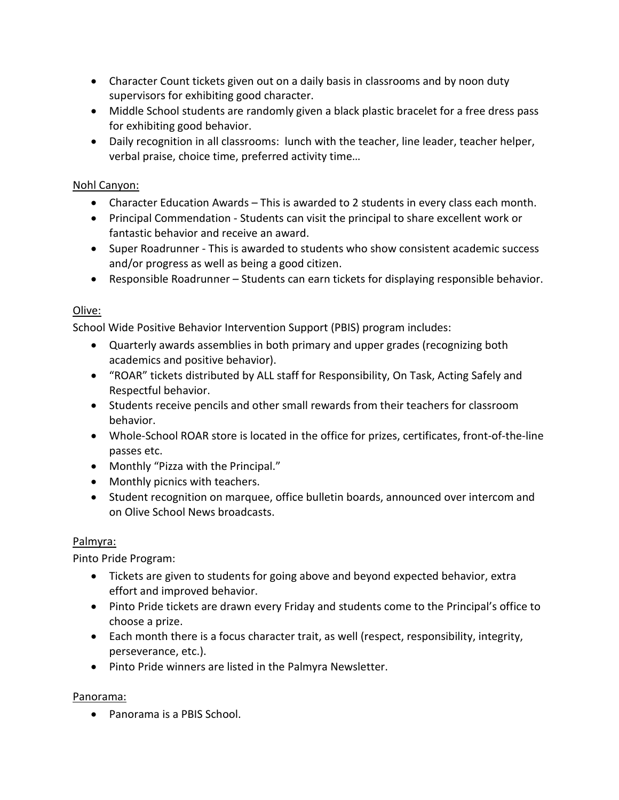- Character Count tickets given out on a daily basis in classrooms and by noon duty supervisors for exhibiting good character.
- Middle School students are randomly given a black plastic bracelet for a free dress pass for exhibiting good behavior.
- Daily recognition in all classrooms: lunch with the teacher, line leader, teacher helper, verbal praise, choice time, preferred activity time…

### Nohl Canyon:

- Character Education Awards This is awarded to 2 students in every class each month.
- Principal Commendation Students can visit the principal to share excellent work or fantastic behavior and receive an award.
- Super Roadrunner This is awarded to students who show consistent academic success and/or progress as well as being a good citizen.
- Responsible Roadrunner *–* Students can earn tickets for displaying responsible behavior.

### Olive:

School Wide Positive Behavior Intervention Support (PBIS) program includes:

- Quarterly awards assemblies in both primary and upper grades (recognizing both academics and positive behavior).
- "ROAR" tickets distributed by ALL staff for Responsibility, On Task, Acting Safely and Respectful behavior.
- Students receive pencils and other small rewards from their teachers for classroom behavior.
- Whole-School ROAR store is located in the office for prizes, certificates, front-of-the-line passes etc.
- Monthly "Pizza with the Principal."
- Monthly picnics with teachers.
- Student recognition on marquee, office bulletin boards, announced over intercom and on Olive School News broadcasts.

### Palmyra:

Pinto Pride Program:

- Tickets are given to students for going above and beyond expected behavior, extra effort and improved behavior.
- Pinto Pride tickets are drawn every Friday and students come to the Principal's office to choose a prize.
- Each month there is a focus character trait, as well (respect, responsibility, integrity, perseverance, etc.).
- Pinto Pride winners are listed in the Palmyra Newsletter.

### Panorama:

• Panorama is a PBIS School.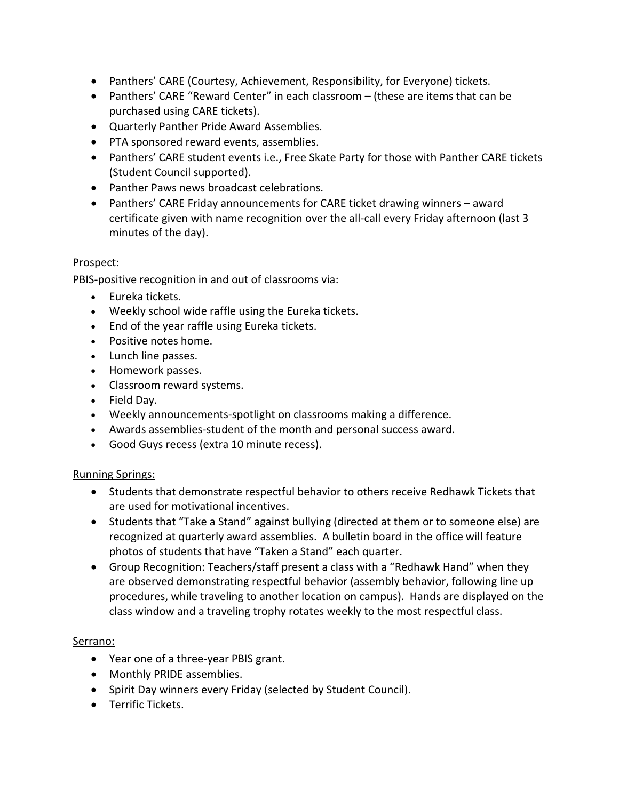- Panthers' CARE (Courtesy, Achievement, Responsibility, for Everyone) tickets.
- Panthers' CARE "Reward Center" in each classroom (these are items that can be purchased using CARE tickets).
- Quarterly Panther Pride Award Assemblies.
- PTA sponsored reward events, assemblies.
- Panthers' CARE student events i.e., Free Skate Party for those with Panther CARE tickets (Student Council supported).
- Panther Paws news broadcast celebrations.
- Panthers' CARE Friday announcements for CARE ticket drawing winners award certificate given with name recognition over the all-call every Friday afternoon (last 3 minutes of the day).

#### Prospect:

PBIS-positive recognition in and out of classrooms via:

- Eureka tickets.
- Weekly school wide raffle using the Eureka tickets.
- End of the year raffle using Eureka tickets.
- Positive notes home.
- Lunch line passes.
- Homework passes.
- Classroom reward systems.
- Field Day.
- Weekly announcements-spotlight on classrooms making a difference.
- Awards assemblies-student of the month and personal success award.
- Good Guys recess (extra 10 minute recess).

#### Running Springs:

- Students that demonstrate respectful behavior to others receive Redhawk Tickets that are used for motivational incentives.
- Students that "Take a Stand" against bullying (directed at them or to someone else) are recognized at quarterly award assemblies. A bulletin board in the office will feature photos of students that have "Taken a Stand" each quarter.
- Group Recognition: Teachers/staff present a class with a "Redhawk Hand" when they are observed demonstrating respectful behavior (assembly behavior, following line up procedures, while traveling to another location on campus). Hands are displayed on the class window and a traveling trophy rotates weekly to the most respectful class.

#### Serrano:

- Year one of a three-year PBIS grant.
- Monthly PRIDE assemblies.
- Spirit Day winners every Friday (selected by Student Council).
- Terrific Tickets.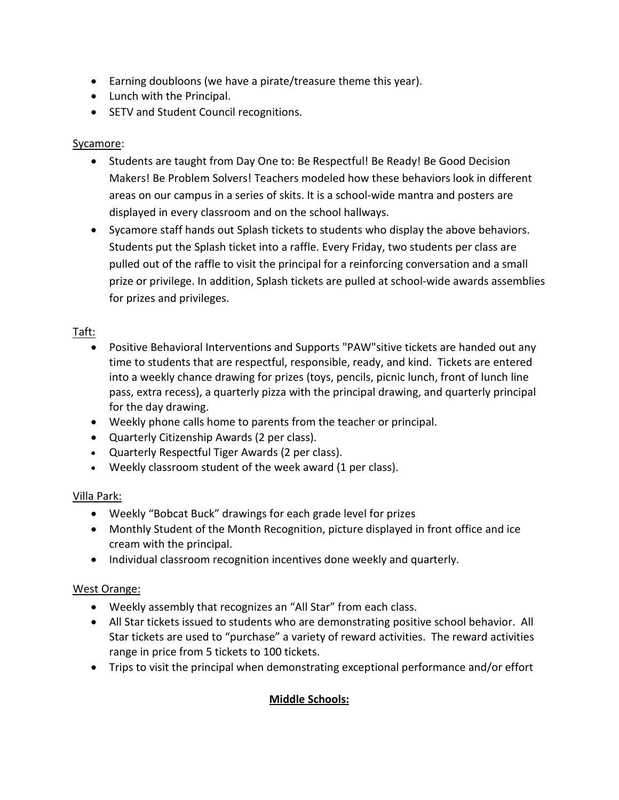- Earning doubloons (we have a pirate/treasure theme this year).
- Lunch with the Principal.
- SETV and Student Council recognitions.

### Sycamore:

- Students are taught from Day One to: Be Respectful! Be Ready! Be Good Decision Makers! Be Problem Solvers! Teachers modeled how these behaviors look in different areas on our campus in a series of skits. It is a school-wide mantra and posters are displayed in every classroom and on the school hallways.
- Sycamore staff hands out Splash tickets to students who display the above behaviors. Students put the Splash ticket into a raffle. Every Friday, two students per class are pulled out of the raffle to visit the principal for a reinforcing conversation and a small prize or privilege. In addition, Splash tickets are pulled at school-wide awards assemblies for prizes and privileges.

### Taft:

- Positive Behavioral Interventions and Supports "PAW" sitive tickets are handed out any time to students that are respectful, responsible, ready, and kind. Tickets are entered into a weekly chance drawing for prizes (toys, pencils, picnic lunch, front of lunch line pass, extra recess), a quarterly pizza with the principal drawing, and quarterly principal for the day drawing.
- Weekly phone calls home to parents from the teacher or principal.
- Quarterly Citizenship Awards (2 per class).
- Quarterly Respectful Tiger Awards (2 per class).
- Weekly classroom student of the week award (1 per class).

### Villa Park:

- Weekly "Bobcat Buck" drawings for each grade level for prizes
- Monthly Student of the Month Recognition, picture displayed in front office and ice cream with the principal.
- Individual classroom recognition incentives done weekly and quarterly.

### West Orange:

- Weekly assembly that recognizes an "All Star" from each class.
- All Star tickets issued to students who are demonstrating positive school behavior. All Star tickets are used to "purchase" a variety of reward activities. The reward activities range in price from 5 tickets to 100 tickets.
- Trips to visit the principal when demonstrating exceptional performance and/or effort

## **Middle Schools:**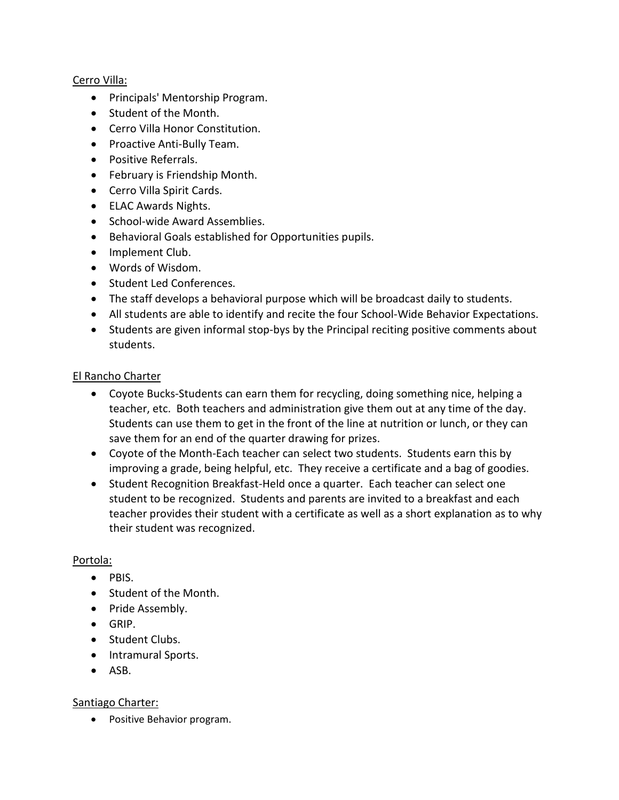### Cerro Villa:

- Principals' Mentorship Program.
- Student of the Month.
- Cerro Villa Honor Constitution.
- Proactive Anti-Bully Team.
- Positive Referrals.
- February is Friendship Month.
- Cerro Villa Spirit Cards.
- ELAC Awards Nights.
- School-wide Award Assemblies.
- Behavioral Goals established for Opportunities pupils.
- Implement Club.
- Words of Wisdom.
- Student Led Conferences.
- The staff develops a behavioral purpose which will be broadcast daily to students.
- All students are able to identify and recite the four School-Wide Behavior Expectations.
- Students are given informal stop-bys by the Principal reciting positive comments about students.

#### El Rancho Charter

- Coyote Bucks-Students can earn them for recycling, doing something nice, helping a teacher, etc. Both teachers and administration give them out at any time of the day. Students can use them to get in the front of the line at nutrition or lunch, or they can save them for an end of the quarter drawing for prizes.
- Coyote of the Month-Each teacher can select two students. Students earn this by improving a grade, being helpful, etc. They receive a certificate and a bag of goodies.
- Student Recognition Breakfast-Held once a quarter. Each teacher can select one student to be recognized. Students and parents are invited to a breakfast and each teacher provides their student with a certificate as well as a short explanation as to why their student was recognized.

#### Portola:

- PBIS.
- Student of the Month.
- Pride Assembly.
- GRIP.
- Student Clubs.
- Intramural Sports.
- ASB.

### Santiago Charter:

• Positive Behavior program.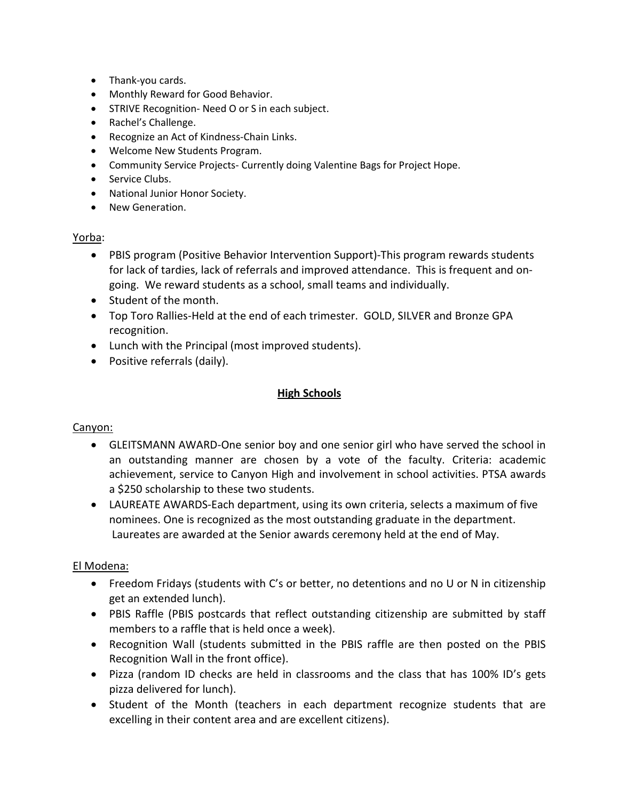- Thank-you cards.
- Monthly Reward for Good Behavior.
- STRIVE Recognition- Need O or S in each subject.
- Rachel's Challenge.
- Recognize an Act of Kindness-Chain Links.
- Welcome New Students Program.
- Community Service Projects- Currently doing Valentine Bags for Project Hope.
- Service Clubs.
- National Junior Honor Society.
- New Generation.

#### Yorba:

- PBIS program (Positive Behavior Intervention Support)-This program rewards students for lack of tardies, lack of referrals and improved attendance. This is frequent and ongoing. We reward students as a school, small teams and individually.
- Student of the month.
- Top Toro Rallies-Held at the end of each trimester. GOLD, SILVER and Bronze GPA recognition.
- Lunch with the Principal (most improved students).
- Positive referrals (daily).

#### **High Schools**

#### Canyon:

- GLEITSMANN AWARD-One senior boy and one senior girl who have served the school in an outstanding manner are chosen by a vote of the faculty. Criteria: academic achievement, service to Canyon High and involvement in school activities. PTSA awards a \$250 scholarship to these two students.
- LAUREATE AWARDS-Each department, using its own criteria, selects a maximum of five nominees. One is recognized as the most outstanding graduate in the department. Laureates are awarded at the Senior awards ceremony held at the end of May.

#### El Modena:

- Freedom Fridays (students with C's or better, no detentions and no U or N in citizenship get an extended lunch).
- PBIS Raffle (PBIS postcards that reflect outstanding citizenship are submitted by staff members to a raffle that is held once a week).
- Recognition Wall (students submitted in the PBIS raffle are then posted on the PBIS Recognition Wall in the front office).
- Pizza (random ID checks are held in classrooms and the class that has 100% ID's gets pizza delivered for lunch).
- Student of the Month (teachers in each department recognize students that are excelling in their content area and are excellent citizens).